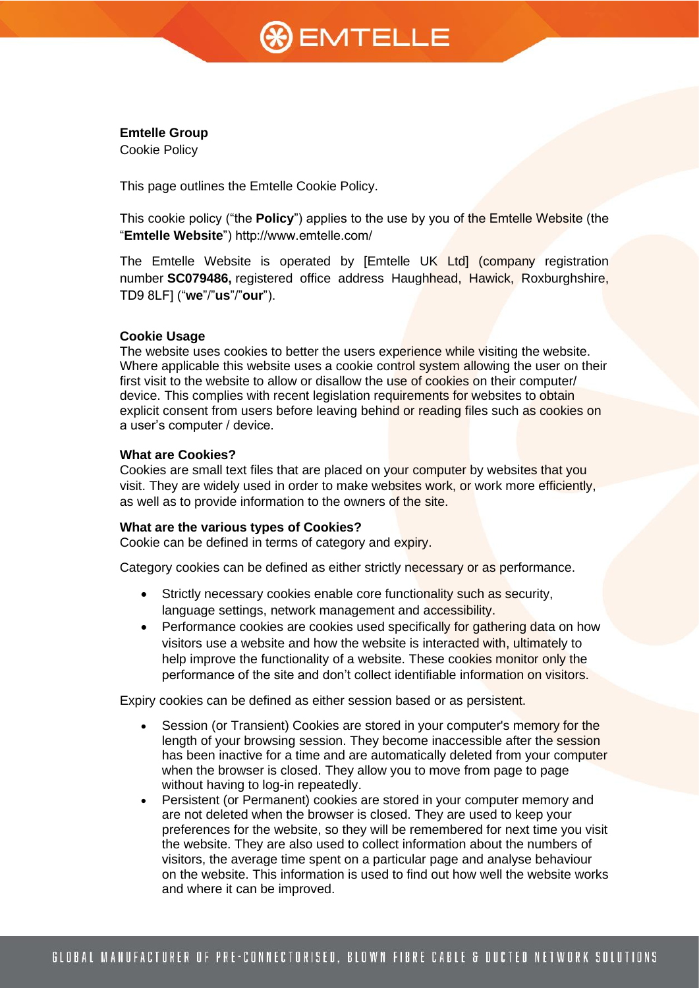# **%)** EMTELLE

## **Emtelle Group**

Cookie Policy

This page outlines the Emtelle Cookie Policy.

This cookie policy ("the **Policy**") applies to the use by you of the Emtelle Website (the "**Emtelle Website**") http://www.emtelle.com/

The Emtelle Website is operated by [Emtelle UK Ltd] (company registration number **SC079486,** registered office address Haughhead, Hawick, Roxburghshire, TD9 8LF] ("**we**"/"**us**"/"**our**").

## **Cookie Usage**

The website uses cookies to better the users experience while visiting the website. Where applicable this website uses a cookie control system allowing the user on their first visit to the website to allow or disallow the use of cookies on their computer/ device. This complies with recent legislation requirements for websites to obtain explicit consent from users before leaving behind or reading files such as cookies on a user's computer / device.

### **What are Cookies?**

Cookies are small text files that are placed on your computer by websites that you visit. They are widely used in order to make websites work, or work more efficiently, as well as to provide information to the owners of the site.

#### **What are the various types of Cookies?**

Cookie can be defined in terms of category and expiry.

Category cookies can be defined as either strictly necessary or as performance.

- Strictly necessary cookies enable core functionality such as security, language settings, network management and accessibility.
- Performance cookies are cookies used specifically for gathering data on how visitors use a website and how the website is interacted with, ultimately to help improve the functionality of a website. These cookies monitor only the performance of the site and don't collect identifiable information on visitors.

Expiry cookies can be defined as either session based or as persistent.

- Session (or Transient) Cookies are stored in your computer's memory for the length of your browsing session. They become inaccessible after the session has been inactive for a time and are automatically deleted from your computer when the browser is closed. They allow you to move from page to page without having to log-in repeatedly.
- Persistent (or Permanent) cookies are stored in your computer memory and are not deleted when the browser is closed. They are used to keep your preferences for the website, so they will be remembered for next time you visit the website. They are also used to collect information about the numbers of visitors, the average time spent on a particular page and analyse behaviour on the website. This information is used to find out how well the website works and where it can be improved.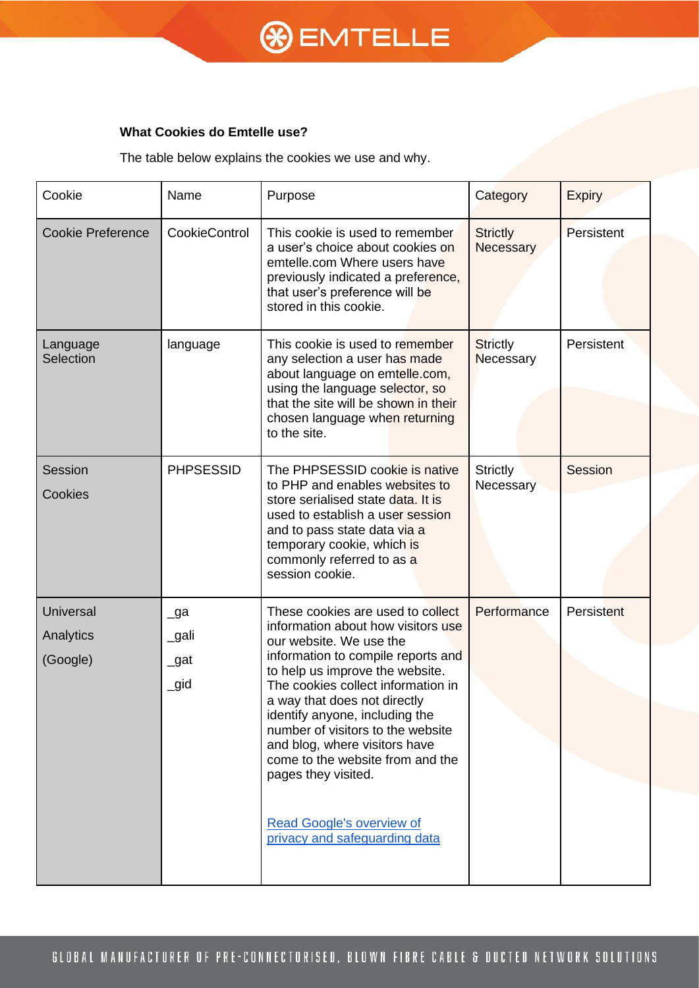# **& EMTELLE**

## **What Cookies do Emtelle use?**

The table below explains the cookies we use and why.

| Cookie                                    | Name                         | Purpose                                                                                                                                                                                                                                                                                                                                                                                                                                                                                   | Category                     | <b>Expiry</b>     |
|-------------------------------------------|------------------------------|-------------------------------------------------------------------------------------------------------------------------------------------------------------------------------------------------------------------------------------------------------------------------------------------------------------------------------------------------------------------------------------------------------------------------------------------------------------------------------------------|------------------------------|-------------------|
| <b>Cookie Preference</b>                  | CookieControl                | This cookie is used to remember<br>a user's choice about cookies on<br>emtelle.com Where users have<br>previously indicated a preference,<br>that user's preference will be<br>stored in this cookie.                                                                                                                                                                                                                                                                                     | <b>Strictly</b><br>Necessary | Persistent        |
| Language<br>Selection                     | language                     | This cookie is used to remember<br>any selection a user has made<br>about language on emtelle.com,<br>using the language selector, so<br>that the site will be shown in their<br>chosen language when returning<br>to the site.                                                                                                                                                                                                                                                           | <b>Strictly</b><br>Necessary | Persistent        |
| Session<br>Cookies                        | <b>PHPSESSID</b>             | The PHPSESSID cookie is native<br>to PHP and enables websites to<br>store serialised state data. It is<br>used to establish a user session<br>and to pass state data via a<br>temporary cookie, which is<br>commonly referred to as a<br>session cookie.                                                                                                                                                                                                                                  | <b>Strictly</b><br>Necessary | Session           |
| <b>Universal</b><br>Analytics<br>(Google) | _ga<br>_gali<br>_gat<br>_gid | These cookies are used to collect<br>information about how visitors use<br>our website. We use the<br>information to compile reports and<br>to help us improve the website.<br>The cookies collect information in<br>a way that does not directly<br>identify anyone, including the<br>number of visitors to the website<br>and blog, where visitors have<br>come to the website from and the<br>pages they visited.<br><b>Read Google's overview of</b><br>privacy and safeguarding data | Performance                  | <b>Persistent</b> |